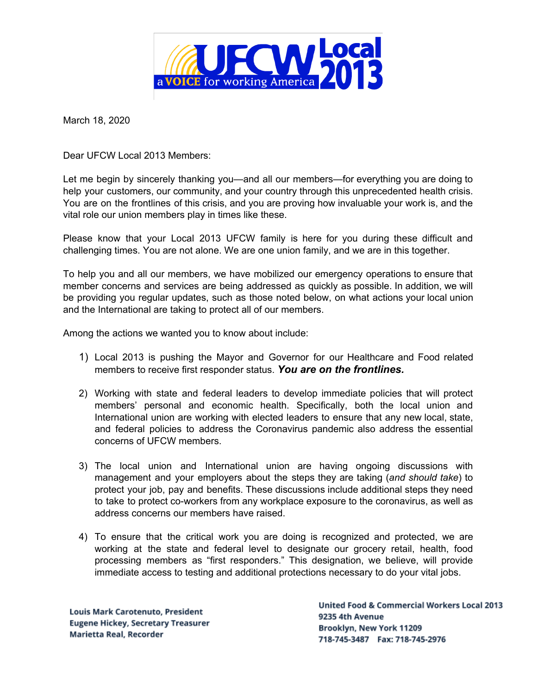

March 18, 2020

Dear UFCW Local 2013 Members:

Let me begin by sincerely thanking you—and all our members—for everything you are doing to help your customers, our community, and your country through this unprecedented health crisis. You are on the frontlines of this crisis, and you are proving how invaluable your work is, and the vital role our union members play in times like these.

Please know that your Local 2013 UFCW family is here for you during these difficult and challenging times. You are not alone. We are one union family, and we are in this together.

To help you and all our members, we have mobilized our emergency operations to ensure that member concerns and services are being addressed as quickly as possible. In addition, we will be providing you regular updates, such as those noted below, on what actions your local union and the International are taking to protect all of our members.

Among the actions we wanted you to know about include:

- 1) Local 2013 is pushing the Mayor and Governor for our Healthcare and Food related members to receive first responder status. *You are on the frontlines.*
- 2) Working with state and federal leaders to develop immediate policies that will protect members' personal and economic health. Specifically, both the local union and International union are working with elected leaders to ensure that any new local, state, and federal policies to address the Coronavirus pandemic also address the essential concerns of UFCW members.
- 3) The local union and International union are having ongoing discussions with management and your employers about the steps they are taking (*and should take*) to protect your job, pay and benefits. These discussions include additional steps they need to take to protect co-workers from any workplace exposure to the coronavirus, as well as address concerns our members have raised.
- 4) To ensure that the critical work you are doing is recognized and protected, we are working at the state and federal level to designate our grocery retail, health, food processing members as "first responders." This designation, we believe, will provide immediate access to testing and additional protections necessary to do your vital jobs.

Louis Mark Carotenuto, President **Eugene Hickey, Secretary Treasurer Marietta Real, Recorder** 

**United Food & Commercial Workers Local 2013** 9235 4th Avenue Brooklyn, New York 11209 718-745-3487 Fax: 718-745-2976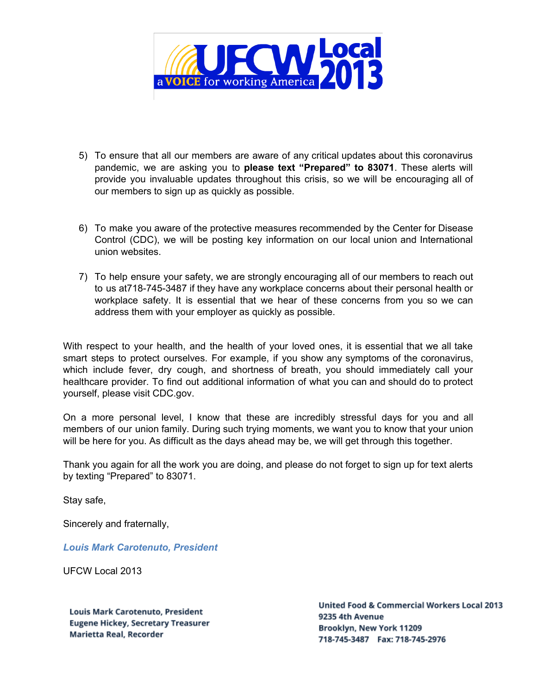

- 5) To ensure that all our members are aware of any critical updates about this coronavirus pandemic, we are asking you to **please text "Prepared" to 83071**. These alerts will provide you invaluable updates throughout this crisis, so we will be encouraging all of our members to sign up as quickly as possible.
- 6) To make you aware of the protective measures recommended by the Center for Disease Control (CDC), we will be posting key information on our local union and International union websites.
- 7) To help ensure your safety, we are strongly encouraging all of our members to reach out to us at718-745-3487 if they have any workplace concerns about their personal health or workplace safety. It is essential that we hear of these concerns from you so we can address them with your employer as quickly as possible.

With respect to your health, and the health of your loved ones, it is essential that we all take smart steps to protect ourselves. For example, if you show any symptoms of the coronavirus, which include fever, dry cough, and shortness of breath, you should immediately call your healthcare provider. To find out additional information of what you can and should do to protect yourself, please visit CDC.gov.

On a more personal level, I know that these are incredibly stressful days for you and all members of our union family. During such trying moments, we want you to know that your union will be here for you. As difficult as the days ahead may be, we will get through this together.

Thank you again for all the work you are doing, and please do not forget to sign up for text alerts by texting "Prepared" to 83071.

Stay safe,

Sincerely and fraternally,

*Louis Mark Carotenuto, President*

UFCW Local 2013

Louis Mark Carotenuto, President **Eugene Hickey, Secretary Treasurer Marietta Real, Recorder** 

**United Food & Commercial Workers Local 2013** 9235 4th Avenue Brooklyn, New York 11209 718-745-3487 Fax: 718-745-2976